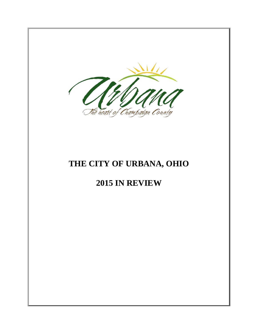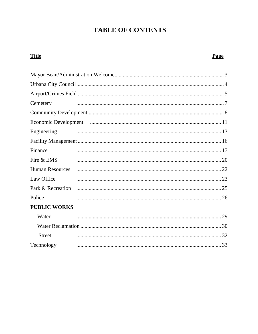# **TABLE OF CONTENTS**

| <b>Title</b>                | Page |
|-----------------------------|------|
|                             |      |
|                             |      |
|                             |      |
| Cemetery                    |      |
|                             |      |
| <b>Economic Development</b> |      |
| Engineering                 |      |
|                             |      |
| Finance                     |      |
| Fire & EMS                  |      |
| <b>Human Resources</b>      |      |
| Law Office                  |      |
|                             |      |
| Police                      |      |
| <b>PUBLIC WORKS</b>         |      |
| Water                       |      |
|                             |      |
| <b>Street</b>               |      |
| Technology                  |      |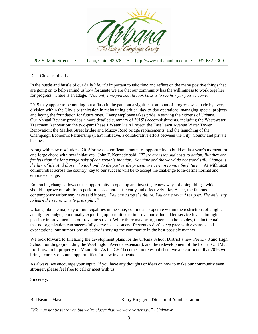

205 S. Main Street • Urbana, Ohio 43078 • http://www.urbanaohio.com • 937-652-4300

Dear Citizens of Urbana,

In the hustle and bustle of our daily life, it's important to take time and reflect on the many positive things that are going on to help remind us how fortunate we are that our community has the willingness to work together for progress. There is an adage, *"The only time you should look back is to see how far you've come."*

2015 may appear to be nothing but a flash in the pan, but a significant amount of progress was made by every division within the City's organization in maintaining critical day-to-day operations, managing special projects and laying the foundation for future ones. Every employee takes pride in serving the citizens of Urbana. Our Annual Review provides a more detailed summary of 2015's accomplishments, including the Wastewater Treatment Renovation; the two-part Phase 1 Water Main Project; the East Lawn Avenue Water Tower Renovation; the Market Street bridge and Muzzy Road bridge replacements; and the launching of the Champaign Economic Partnership (CEP) initiative, a collaborative effort between the City, County and private business.

Along with new resolutions, 2016 brings a significant amount of opportunity to build on last year's momentum and forge ahead with new initiatives. John F. Kennedy said, *"There are risks and costs to action. But they are far less than the long range risks of comfortable inaction. For time and the world do not stand still. Change is the law of life. And those who look only to the past or the present are certain to miss the future."* As with most communities across the country, key to our success will be to accept the challenge to re-define normal and embrace change.

Embracing change allows us the opportunity to open up and investigate new ways of doing things, which should improve our ability to perform tasks more efficiently and effectively. Jay Asher, the famous contemporary writer may have said it best, *"You can't stop the future. You can't rewind the past. The only way to learn the secret … is to press play."*

Urbana, like the majority of municipalities in the state, continues to operate within the restrictions of a tighter and tighter budget, continually exploring opportunities to improve our value-added service levels through possible improvements in our revenue stream. While there may be arguments on both sides, the fact remains that no organization can successfully serve its customers if revenues don't keep pace with expenses and expectations; our number one objective is serving the community in the best possible manner.

We look forward to finalizing the development plans for the Urbana School District's new Pre K - 8 and High School buildings (including the Washington Avenue extension), and the redevelopment of the former Q3 JMC, Inc. brownfield property on Miami St. As the CEP becomes more established, we are confident that 2016 will bring a variety of sound opportunities for new investments.

As always, we encourage your input. If you have any thoughts or ideas on how to make our community even stronger, please feel free to call or meet with us.

Sincerely,

Bill Bean -- Mayor **Kerry Brugger** – Director of Administration

*"We may not be there yet, but we're closer than we were yesterday." - Unknown*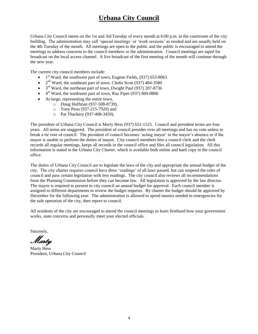## **Urbana City Council**

Urbana City Council meets on the 1st and 3rd Tuesday of every month at 6:00 p.m. in the courtroom of the city building. The administration may call 'special meetings' or 'work sessions' as needed and are usually held on the 4th Tuesday of the month. All meetings are open to the public and the public is encouraged to attend the meetings to address concerns to the council members or the administration. Council meetings are taped for broadcast on the local access channel. A live broadcast of the first meeting of the month will continue through the new year.

The current city council members include:

- $\bullet$  1<sup>st</sup> Ward, the southwest part of town, Eugene Fields, (937) 653-8063
- $\bullet$   $2<sup>nd</sup>$  Ward, the southeast part of town, Cledis Scott (937) 484-3580
- $\bullet$  3<sup>rd</sup> Ward, the northeast part of town, Dwight Paul (937) 207-8736
- $\bullet$  4<sup>th</sup> Ward, the northwest part of town, Ray Piper (937) 869-0806
- At-large, representing the entire town,
	- o Doug Hoffman (937-508-8739),
	- o Tony Pena (937-215-7920) and
	- o Pat Thackery (937-408-3459).

The president of Urbana City Council is Marty Hess (937) 652-1525. Council and president terms are four years. All terms are staggered. The president of council presides over all meetings and has no vote unless to break a tie vote of council. The president of council becomes 'acting mayor' in the mayor's absence or if the mayor is unable to perform the duties of mayor. City council members hire a council clerk and the clerk records all regular meetings, keeps all records in the council office and files all council legislation. All this information is stated in the Urbana City Charter, which is available both online and hard copy in the council office.

The duties of Urbana City Council are to legislate the laws of the city and appropriate the annual budget of the city. The city charter requires council have three 'readings' of all laws passed, but can suspend the rules of council and pass certain legislation with less readings. The city council also reviews all recommendations from the Planning Commission before they can become law. All legislation is approved by the law director. The mayor is required to present to city council an annual budget for approval. Each council member is assigned to different departments to review the budget requests. By charter the budget should be approved by December for the following year. The administration is allowed to spend monies needed in emergencies for the safe operation of the city, then report to council.

All residents of the city are encouraged to attend the council meetings to learn firsthand how your government works, state concerns and personally meet your elected officials.

Sincerely,

Marty

Marty Hess President, Urbana City Council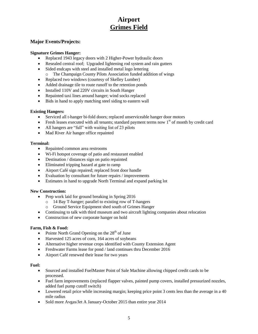# **Airport Grimes Field**

### **Major Events/Projects:**

#### **Signature Grimes Hanger:**

- Replaced 1943 legacy doors with 2 Higher-Power hydraulic doors
- Resealed central roof; Upgraded lightening rod system and rain gutters
- Sided endcaps with steel and installed metal logo lettering o The Champaign County Pilots Association funded addition of wings
- 
- Replaced two windows (courtesy of Skelley Lumber)
- Added drainage tile to route runoff to the retention ponds
- Installed 110V and 220V circuits in South Hanger
- Repainted taxi lines around hanger; wind socks replaced
- Bids in hand to apply matching steel siding to eastern wall

#### **Existing Hangers:**

- Serviced all t-hanger bi-fold doors; replaced unserviceable hanger door motors
- Fresh leases executed with all tenants; standard payment terms now  $1<sup>st</sup>$  of month by credit card
- All hangers are "full" with waiting list of 23 pilots
- Mad River Air hanger office repainted

#### **Terminal:**

- Repainted common area restrooms
- Wi-Fi hotspot coverage of patio and restaurant enabled
- Destination / distances sign on patio repainted
- Eliminated tripping hazard at gate to ramp
- Airport Café sign repaired; replaced front door handle
- Evaluation by consultant for future repairs / improvements
- Estimates in hand to upgrade North Terminal and expand parking lot

### **New Construction:**

- Prep work laid for ground breaking in Spring 2016
	- o 14 Bay T-hanger; parallel to existing row of T-hangers
	- o Ground Service Equipment shed south of Grimes Hanger
- Continuing to talk with third museum and two aircraft lighting companies about relocation
- Construction of new corporate hanger on hold

#### **Farm, Fish & Food:**

- Pointe North Grand Opening on the  $28<sup>th</sup>$  of June
- Harvested 125 acres of corn, 164 acres of soybeans
- Alternative higher revenue crops identified with County Extension Agent
- Freshwater Farms lease for pond / land continues thru December 2016
- Airport Café renewed their lease for two years

#### **Fuel:**

- Sourced and installed FuelMaster Point of Sale Machine allowing chipped credit cards to be processed.
- Fuel farm improvements (replaced flapper valves, painted pump covers, installed pressurized nozzles, added fuel pump cutoff switch)
- Lowered retail price while increasing margin; keeping price point 3 cents less than the average in a 40 mile radius
- Sold more Avgas/Jet A January-October 2015 than entire year 2014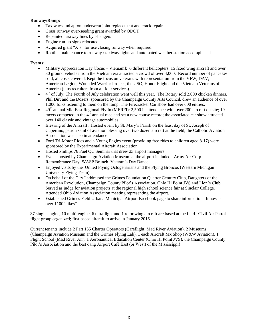### **Runway/Ramp:**

- Taxiways and apron underwent joint replacement and crack repair
- Grass runway over-seeding grant awarded by ODOT
- Repainted taxiway lines by t-hangers
- Engine run-up signs relocated
- Acquired giant " $X's$ " for use closing runway when required
- Routine maintenance to runway / taxiway lights and automated weather station accomplished

### **Events:**

- Military Appreciation Day [focus Vietnam]: 6 different helicopters, 15 fixed wing aircraft and over 30 ground vehicles from the Vietnam era attracted a crowd of over 4,000. Record number of pancakes sold; all costs covered. Kept the focus on veterans with representation from the VFW, DAV, American Legion, Wounded Warrior Project, the USO, Honor Flight and the Vietnam Veterans of America (plus recruiters from all four services).
- $\bullet$  4<sup>th</sup> of July: The Fourth of July celebration went well this year. The Rotary sold 2,000 chicken dinners. Phil Dirt and the Dozers, sponsored by the Champaign County Arts Council, drew an audience of over 1,000 folks listening to them on the ramp. The Firecracker Car show had over 600 entries.
- $\bullet$  49<sup>th</sup> annual Mid East Regional Fly In (MERFI): 2,500 in attendance with over 200 aircraft on site; 19 racers competed in the  $4<sup>th</sup>$  annual race and set a new course record; the associated car show attracted over 140 classic and vintage automobiles
- Blessing of the Aircraft : Hosted event by St. Mary's Parish on the feast day of St. Joseph of Cupertino, patron saint of aviation blessing over two dozen aircraft at the field; the Catholic Aviation Association was also in attendance
- Ford Tri-Motor Rides and a Young Eagles event (providing free rides to children aged 8-17) were sponsored by the Experimental Aircraft Association
- Hosted Phillips 76 Fuel QC Seminar that drew 23 airport managers
- Events hosted by Champaign Aviation Museum at the airport included: Army Air Corp Remembrance Day, WASP Brunch, Veteran's Day Dance
- Enjoyed visits by the United Flying Octogenarians and the Flying Broncos (Western Michigan University Flying Team)
- On behalf of the City I addressed the Grimes Foundation Quarter Century Club, Daughters of the American Revolution, Champaign County Pilot's Association, Ohio Hi Point JVS and Lion's Club. Served as judge for aviation projects at the regional high school science fair at Sinclair College. Attended Ohio Aviation Association meeting representing the airport.
- Established Grimes Field Urbana Municipal Airport Facebook page to share information. It now has over 1100 "likes".

37 single engine, 10 multi-engine, 6 ultra-light and 1 rotor wing aircraft are based at the field. Civil Air Patrol flight group organized; first based aircraft to arrive in January 2016.

Current tenants include 2 Part 135 Charter Operators (Careflight, Mad River Aviation), 2 Museums (Champaign Aviation Museum and the Grimes Flying Lab), 1 each Aircraft Mx Shop (W&W Aviation), 1 Flight School (Mad River Air), 1 Aeronautical Education Center (Ohio Hi Point JVS), the Champaign County Pilot's Association and the best dang Airport Café East (or West) of the Mississippi!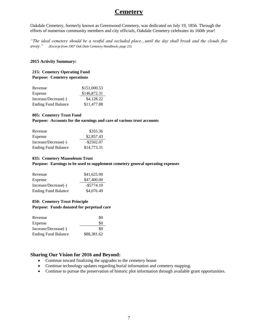## **Cemetery**

Oakdale Cemetery, formerly known as Greenwood Cemetery, was dedicated on July 19, 1856. Through the efforts of numerous community members and city officials, Oakdale Cemetery celebrates its 160th year!

*"The ideal cemetery should be a restful and secluded place…until the day shall break and the clouds flee away." (Excerpt from 1907 Oak Dale Cemetery Handbook; page 23)*

#### **2015 Activity Summary:**

#### **215: Cemetery Operating Fund Purpose: Cemetery operations**

| Revenue                    | \$151,000.53 |
|----------------------------|--------------|
| Expense                    | \$146,872.31 |
| Increase/Decrease(-)       | \$4,128.22   |
| <b>Ending Fund Balance</b> | \$11,477.88  |

#### **805: Cemetery Trust Fund**

#### **Purpose: Accounts for the earnings and care of various trust accounts**

| Revenue                    | \$355.36      |
|----------------------------|---------------|
| Expense                    | \$2,857.43    |
| Increase/Decrease(-)       | $-$ \$2502.07 |
| <b>Ending Fund Balance</b> | \$14,773.31   |

#### **835: Cemetery Mausoleum Trust**

**Purpose: Earnings to be used to supplement cemetery general operating expenses**

| Revenue                    | \$41,625.90   |
|----------------------------|---------------|
| Expense                    | \$47,400.00   |
| Increase/Decrease(-)       | $-$ \$5774.10 |
| <b>Ending Fund Balance</b> | \$4,076.49    |

### **850: Cemetery Trust Principle Purpose: Funds donated for perpetual care**

| Revenue                    | \$0         |
|----------------------------|-------------|
| Expense                    | \$0         |
| Increase/Decrease(-)       | \$0         |
| <b>Ending Fund Balance</b> | \$88,381.62 |

- Continue toward finalizing the upgrades to the cemetery house
- Continue technology updates regarding burial information and cemetery mapping.
- Continue to pursue the preservation of historic plot information through available grant opportunities.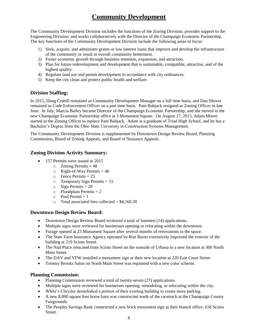# **Community Development**

The Community Development Division includes the functions of the Zoning Division; provides support to the Engineering Division; and works collaboratively with the Director of the Champaign Economic Partnership. The key functions of the Community Development Division include the following areas of focus:

- 1) Seek, acquire, and administer grants or low interest loans that improve and develop the infrastructure of the community or result in overall community betterment.
- 2) Foster economic growth through business retention, expansion, and attraction.
- 3) Plan for future redevelopment and development that is sustainable, compatible, attractive, and of the highest quality.
- 4) Regulate land use and permit development in accordance with city ordinances.
- 5) Keep the city clean and protect public health and welfare.

## **Division Staffing:**

In 2015, Doug Crabill remained as Community Development Manager on a full time basis, and Dan Shover remained as Code Enforcement Officer on a part time basis. Pam Babjack resigned as Zoning Officer in late June. In July, Marcia Bailey became Director of the Champaign Economic Partnership, and she moved to the new Champaign Economic Partnership office at 3 Monument Square. On August 17, 2015, Adam Moore started as the Zoning Officer to replace Pam Babjack. Adam is a graduate of Triad High School, and he has a Bachelor's Degree from the Ohio State University in Construction Systems Management.

The Community Development Division is supplemented by Downtown Design Review Board, Planning Commission, Board of Zoning Appeals, and Board of Nuisance Appeals.

## **Zoning Division Activity Summary:**

- 157 Permits were issued in 2015
	- $\circ$  Zoning Permits = 48
	- $\circ$  Right-of-Way Permits = 46
	- o Fence Permits = 25
	- $\circ$  Temporary Sign Permits = 15
	- $\circ$  Sign Permits = 20
	- $\circ$  Floodplain Permits = 2
	- $\circ$  Pool Permit = 1
	- $\circ$  Total associated fees collected = \$4,160.30

## **Downtown Design Review Board:**

- Downtown Design Review Board reviewed a total of fourteen (14) applications.
- Multiple signs were reviewed for businesses opening or relocating within the downtown.
- Forage opened at 23 Monument Square after several months of renovations to the space.
- The State Farm Insurance Agency operated by Ron Burns extensively improved the exterior of the building at 219 Scioto Street.
- The Nail Place relocated from Scioto Street on the eastside of Urbana to a new location at 300 North Main Street.
- The DAV and VFW installed a monument sign at their new location at 220 East Court Street.
- Tommy Brooks Salon on North Main Street was repainted with a new color scheme.

## **Planning Commission:**

- Planning Commission reviewed a total of twenty-seven (27) applications.
- Multiple signs were reviewed for businesses opening, remodeling, or relocating within the city.
- White's Chrysler demolished a portion of their existing building to create more parking.
- A new 8,000 square foot horse barn was constructed north of the racetrack at the Champaign County Fairgrounds.
- The Peoples Savings Bank constructed a new brick monument sign at their branch office, 618 Scioto Street.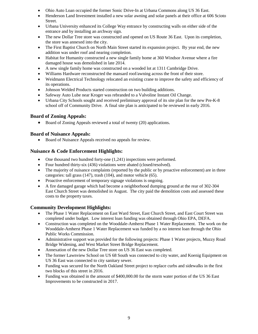- Ohio Auto Loan occupied the former Sonic Drive-In at Urbana Commons along US 36 East.
- Henderson Land Investment installed a new solar awning and solar panels at their office at 606 Scioto Street.
- Urbana University enhanced its College Way entrance by constructing walls on either side of the entrance and by installing an archway sign.
- The new Dollar Tree store was constructed and opened on US Route 36 East. Upon its completion, the store was annexed into the city.
- The First Baptist Church on North Main Street started its expansion project. By year end, the new addition was under roof and nearing completion.
- Habitat for Humanity constructed a new single family home at 360 Windsor Avenue where a fire damaged house was demolished in late 2014.
- A new single family home was constructed on a wooded lot at 1311 Cambridge Drive.
- Williams Hardware reconstructed the mansard roof/awning across the front of their store.
- Weidmann Electrical Technology relocated an existing crane to improve the safety and efficiency of its operations.
- Johnson Welded Products started construction on two building additions.
- Safeway Auto Lube near Kroger was rebranded to a Valvoline Instant Oil Change.
- Urbana City Schools sought and received preliminary approval of its site plan for the new Pre-K-8 school off of Community Drive. A final site plan is anticipated to be reviewed in early 2016.

## **Board of Zoning Appeals:**

• Board of Zoning Appeals reviewed a total of twenty (20) applications.

## **Board of Nuisance Appeals:**

Board of Nuisance Appeals received no appeals for review.

## **Nuisance & Code Enforcement Highlights:**

- One thousand two hundred forty-one (1,241) inspections were performed.
- Four hundred thirty-six (436) violations were abated (closed/resolved).
- The majority of nuisance complaints (reported by the public or by proactive enforcement) are in three categories: tall grass (147), trash (104), and motor vehicle (65).
- Proactive enforcement of temporary signage violations is ongoing.
- A fire damaged garage which had become a neighborhood dumping ground at the rear of 302-304 East Church Street was demolished in August. The city paid the demolition costs and assessed these costs to the property taxes.

## **Community Development Highlights:**

- The Phase 1 Water Replacement on East Ward Street, East Church Street, and East Court Street was completed under budget. Low interest loan funding was obtained through Ohio EPA, DEFA.
- Construction was completed on the Wooddale-Amherst Phase 1 Water Replacement. The work on the Wooddale-Amherst Phase 1 Water Replacement was funded by a no interest loan through the Ohio Public Works Commission.
- Administrative support was provided for the following projects: Phase 1 Water projects, Muzzy Road Bridge Widening, and West Market Street Bridge Replacement.
- Annexation of the new Dollar Tree store on US 36 East was completed.
- The former Lawnview School on US 68 South was connected to city water, and Koenig Equipment on US 36 East was connected to city sanitary sewer.
- Funding was secured for the North Oakland Street project to replace curbs and sidewalks in the first two blocks of this street in 2016.
- Funding was obtained in the amount of \$400,000.00 for the storm water portion of the US 36 East Improvements to be constructed in 2017.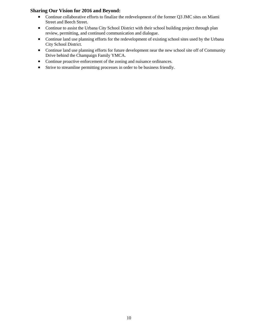- Continue collaborative efforts to finalize the redevelopment of the former Q3 JMC sites on Miami Street and Beech Street.
- Continue to assist the Urbana City School District with their school building project through plan review, permitting, and continued communication and dialogue.
- Continue land use planning efforts for the redevelopment of existing school sites used by the Urbana City School District.
- Continue land use planning efforts for future development near the new school site off of Community Drive behind the Champaign Family YMCA.
- Continue proactive enforcement of the zoning and nuisance ordinances.
- Strive to streamline permitting processes in order to be business friendly.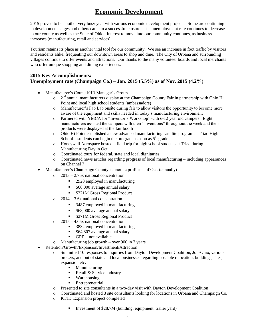# **Economic Development**

2015 proved to be another very busy year with various economic development projects. Some are continuing in development stages and others came to a successful closure. The unemployment rate continues to decrease in our county as well as the State of Ohio. Interest to move into our community continues, as business increases (manufacturing, retail and services).

Tourism retains its place as another vital tool for our community. We see an increase in foot traffic by visitors and residents alike, frequenting our downtown areas to shop and dine. The City of Urbana and surrounding villages continue to offer events and attractions. Our thanks to the many volunteer boards and local merchants who offer unique shopping and dining experiences.

## **2015 Key Accomplishments: Unemployment rate (Champaign Co.) – Jan. 2015 (5.5%) as of Nov. 2015 (4.2%)**

- Manufacturer's Council/HR Manager's Group
	- $\circ$  $2<sup>nd</sup>$  annual manufacturers display at the Champaign County Fair in partnership with Ohio Hi Point and local high school students (ambassadors)
	- o Manufacturer's Fab Lab onsite during fair to allow visitors the opportunity to become more aware of the equipment and skills needed in today's manufacturing environment
	- o Partnered with YMCA for "Inventor's Workshop" with 6-12 year old campers. Eight manufacturers assisted the campers with their "inventions" throughout the week and their products were displayed at the fair booth
	- o Ohio Hi Point established a new advanced manufacturing satellite program at Triad High School – students can begin the program as soon as  $5<sup>th</sup>$  grade
	- o Honeywell Aerospace hosted a field trip for high school students at Triad during Manufacturing Day in Oct.
	- o Coordinated tours for federal, state and local dignitaries
	- o Coordinated news articles regarding progress of local manufacturing including appearances on Channel 7
- Manufacturer's Champaign County economic profile as of Oct. (annually)
	- o 2013 2.75x national concentration
		- 2928 employed in manufacturing
		- \$66,000 average annual salary
		- **S221M Gross Regional Product**
	- o 2014 3.6x national concentration
		- 3487 employed in manufacturing
		- \$68,000 average annual salary
		- \$271M Gross Regional Product
	- o 2015 4.05x national concentration
		- 3832 employed in manufacturing
		- **564,807** average annual salary
		- $\blacksquare$  GRP not available
	- o Manufacturing job growth over 900 in 3 years
- Retention/Growth/Expansion/Investment/Attraction
	- o Submitted 10 responses to inquiries from Dayton Development Coalition, JobsOhio, various brokers, and out of state and local businesses regarding possible relocation, buildings, sites, expansion etc.
		- **Manufacturing**
		- Retail  $&$  Service industry
		- Warehousing
		- Entrepreneurial
	- o Presented to site consultants in a two-day visit with Dayton Development Coalition
	- o Coordinated and hosted 3 site consultants looking for locations in Urbana and Champaign Co.
	- o KTH: Expansion project completed
		- Investment of \$28.7M (building, equipment, trailer yard)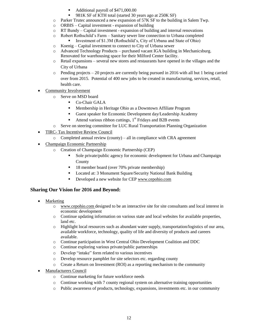- Additional payroll of \$471,000.00
	- 981K SF of KTH total (started 30 years ago at 250K SF)
- o Parker Trutec announced a new expansion of 57K SF to the building in Salem Twp.
- o ORBIS Capital investment expansion of building
- o RT Bundy Capital investment expansion of building and internal renovations
- o Robert Rothschild's Farm Sanitary sewer line connection to Urbana completed
	- Investment of \$1.3M (Rothschild's, City of Urbana and State of Ohio)
- o Koenig Capital investment to connect to City of Urbana sewer
- o Advanced Technology Products purchased vacant IGA building in Mechanicsburg. Renovated for warehousing space for their Milford Center facility.
- o Retail expansions several new stores and restaurants have opened in the villages and the City of Urbana
- $\circ$  Pending projects 20 projects are currently being pursued in 2016 with all but 1 being carried over from 2015. Potential of 400 new jobs to be created in manufacturing, services, retail, health care.
- Community Involvement
	- o Serve on MSD board
		- Co-Chair GALA
		- Membership in Heritage Ohio as a Downtown Affiliate Program
		- Guest speaker for Economic Development day/Leadership Academy
		- Attend various ribbon cuttings,  $1<sup>st</sup>$  Fridays and B2B events
	- o Serve on steering committee for LUC Rural Transportation Planning Organization
- TIRC- Tax Incentive Review Council
	- o Completed annual review (county) all in compliance with CRA agreement
- Champaign Economic Partnership
	- o Creation of Champaign Economic Partnership (CEP)
		- Sole private/public agency for economic development for Urbana and Champaign County
		- <sup>18</sup> member board (over 70% private membership)
		- **Located at: 3 Monument Square/Security National Bank Building**
		- Developed a new website for CEP [www.cepohio.com](http://www.cepohio.com/)

- Marketing
	- o [www.cepohio.com](http://www.cepohio.com/) designed to be an interactive site for site consultants and local interest in economic development
	- o Continue updating information on various state and local websites for available properties, land etc.
	- o Highlight local resources such as abundant water supply, transportation/logistics of our area, available workforce, technology, quality of life and diversity of products and careers available.
	- o Continue participation in West Central Ohio Development Coalition and DDC
	- o Continue exploring various private/public partnerships
	- o Develop "intake" form related to various incentives
	- o Develop resource pamphlet for site selectors etc. regarding county
	- o Create a Return on Investment (ROI) as a reporting mechanism to the community
- Manufacturers Council
	- o Continue marketing for future workforce needs
	- o Continue working with 7 county regional system on alternative training opportunities
	- o Public awareness of products, technology, expansions, investments etc. in our community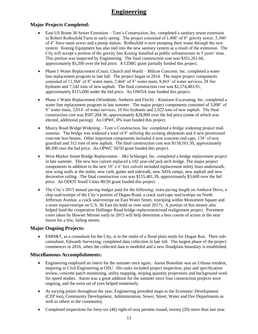## **Engineering**

## **Major Projects Completed:**

- East US Route 36 Sewer Extension Tom's Construction, Inc. completed a sanitary sewer extension to Robert Rothschild Farm in early spring. The project consisted of 1,400' of 8" gravity sewer, 5,300' of 4" force main sewer and a pump station. Rothschild is now pumping their waste through the new system. Koenig Equipment has also tied into the new sanitary system as a result of the extension. The City will accept a portion of the gravity line Koenig installed as public infrastructure in 5 years' time. This portion was inspected by Engineering. The final construction cost was \$351,261.66, approximately \$5,200 over the bid price. A CDBG grant partially funded this project.
- Phase 1 Water Replacement (Court, Church and Ward) Milcon Concrete, Inc. completed a water line replacement program in late fall. The project began in 2014. The major project components consisted of 11,568' of 8" water main, 2,464' of 4" water main, 8,865' of water services, 28 fire hydrants and 7,542 tons of new asphalt. The final construction cost was \$2,574,403.91, approximately \$115,000 under the bid price. An OWDA loan funded this project.
- Phase 1 Water Replacement (Wooddale, Amherst and Finch) Kinnison Excavating, Inc. completed a water line replacement program in late summer. The major project components consisted of 3,890' of 8" water main, 2,014' of water services, 10 fire hydrants and 2,022 tons of new asphalt. The final construction cost was \$587,204.36, approximately \$28,800 over the bid price (some of which was elected, additional paving). An OPWC 0% loan funded this project.
- Muzzy Road Bridge Widening Tom's Construction, Inc. completed a bridge widening project midsummer. The bridge was widened a total of 8' utilizing the existing abutments and 4 new prestressed concrete box beams. Other important components included 4 new concrete end caps, 138' of new guardrail and 312 tons of new asphalt. The final construction cost was \$118,161.50, approximately \$8,300 over the bid price. An OPWC 50/50 grant funded this project.
- West Market Street Bridge Replacement J&J Schlaegel, Inc. completed a bridge replacement project in late summer. The new box culvert replaced a 102 year-old jack arch bridge. The major project components in addition to the new 10' x 6' box culvert included replacement utility lines underneath, new wing walls at the outlet, new curb, gutter and sidewalk, new ADA ramps, new asphalt and new decorative railing. The final construction cost was \$155,481.39, approximately \$3,600 over the bid price. An ODOT Small Cities 80/20 grant funded this project.
- The City's 2015 annual paving budget paid for the following: extra paving length on Amherst Drive, a chip seal/restripe of the City's portion of Dugan Road, a crack seal/cape seal/restripe on North Jefferson Avenue, a crack seal/restripe on East Water Street, restriping within Monument Square and a seam repair/restripe on U.S. 36 East (to hold us over until 2017). A portion of this money also helped fund the cooperative Dellinger Road bridge replacement/road realignment project. Pavement cores taken by Bowser Morner early in 2015 will help determine a best course of action in the near future for a few, failing streets.

## **Major Ongoing Projects:**

 EMH&T, as a consultant for the City, is in the midst of a flood plain study for Dugan Run. Their subconsultant, Edwards Surveying, completed data collection in late fall. The largest phase of the project commences in 2016, when the collected data is modeled and a new floodplain boundary is established.

## **Miscellaneous Accomplishments:**

- Engineering employed an intern for the summer once again. Aaron Bowshier was an Urbana resident, majoring in Civil Engineering at OSU. His tasks included project inspection, plan and specification review, concrete patch monitoring, utility mapping, striping quantity projections and background work for speed studies. Aaron was a great addition for the summer since four construction projects were ongoing, and the extra set of eyes helped immensely.
- At varying points throughout the year, Engineering provided maps to the Economic Development (CEP too), Community Development, Administration, Sewer, Street, Water and Fire Departments as well as others in the community.
- Completed inspections for forty-six (46) right-of-way permits issued, twenty (20) more than last year.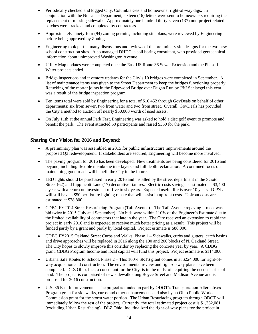- Periodically checked and logged City, Columbia Gas and homeowner right-of-way digs. In conjunction with the Nuisance Department, sixteen (16) letters were sent to homeowners requiring the replacement of missing sidewalk. Approximately one hundred thirty-seven (137) non-project related patches were tracked and completed by contractors.
- Approximately ninety-four (94) zoning permits, including site plans, were reviewed by Engineering before being approved by Zoning.
- Engineering took part in many discussions and reviews of the preliminary site designs for the two new school construction sites. Also managed DHDC, a soil boring consultant, who provided geotechnical information about unimproved Washington Avenue.
- Utility Map updates were completed once the East US Route 36 Sewer Extension and the Phase 1 Water projects ended.
- Bridge inspections and inventory updates for the City's 10 bridges were completed in September. A list of maintenance items was given to the Street Department to keep the bridges functioning properly. Retucking of the mortar joints in the Edgewood Bridge over Dugan Run by J&J Schlaegel this year was a result of the bridge inspection program.
- Ten items total were sold by Engineering for a total of \$16,452 through GovDeals on behalf of other departments: six from sewer, two from water and two from street. Overall, GovDeals has provided the City a method to auction off nearly \$60,000 worth of used assets.
- On July 11th at the annual Park Fest, Engineering was asked to hold a disc golf event to promote and benefit the park. The event attracted 50 participants and raised \$350 for the park.

- A preliminary plan was assembled in 2015 for public infrastructure improvements around the proposed Q3 redevelopment. If stakeholders are secured, Engineering will become more involved.
- The paving program for 2016 has been developed. New treatments are being considered for 2016 and beyond, including flexible membrane interlayers and full depth reclamation. A continued focus on maintaining good roads will benefit the City in the future.
- LED lights should be purchased in early 2016 and installed by the street department in the Scioto Street (62) and Lippincott Lane (17) decorative fixtures. Electric costs savings is estimated at \$3,400 a year with a return on investment of five to six years. Expected useful life is over 10 years. DP&L will still have a \$50 per fixture lighting rebate that will assist in upfront costs. Upfront costs are estimated at \$28,800.
- CDBG FY2014 Street Resurfacing Program (Taft Avenue) The Taft Avenue repaving project was bid twice in 2015 (July and September). No bids were within 110% of the Engineer's Estimate due to the limited availability of contractors that late in the year. The City received an extension to rebid the project in early 2016 and is expected to receive much better pricing as a result. This project will be funded partly by a grant and partly by local capital. Project estimate is \$86,000.
- CDBG FY2015 Oakland Street Curbs and Walks, Phase 1 Sidewalks, curbs and gutters, catch basins and drive approaches will be replaced in 2016 along the 100 and 200 blocks of N. Oakland Street. The City hopes to slowly improve this corridor by replacing the concrete year by year. A CDBG grant, CDBG Program Income and local capital will fund this project. Project estimate is \$114,000.
- Urbana Safe Routes to School, Phase 2 This 100% SRTS grant comes in at \$224,000 for right-ofway acquisition and construction. The environmental review and right-of-way plans have been completed. DLZ Ohio, Inc., a consultant for the City, is in the midst of acquiring the needed strips of land. The project is comprised of new sidewalk along Boyce Street and Madison Avenue and is proposed for 2016 construction.
- U.S. 36 East Improvements The project is funded in part by ODOT's Transportation Alternatives Program grant for sidewalks, curbs and other enhancements and also by an Ohio Public Works Commission grant for the storm water portion. The Urban Resurfacing program through ODOT will immediately follow the rest of the project. Currently, the total estimated project cost is \$1,362,081 (excluding Urban Resurfacing). DLZ Ohio, Inc. finalized the right-of-way plans for the project in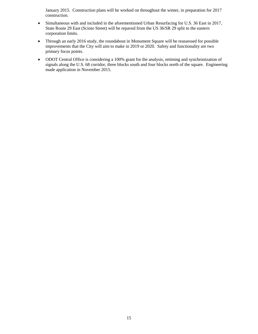January 2015. Construction plans will be worked on throughout the winter, in preparation for 2017 construction.

- Simultaneous with and included in the aforementioned Urban Resurfacing for U.S. 36 East in 2017, State Route 29 East (Scioto Street) will be repaved from the US 36/SR 29 split to the eastern corporation limits.
- Through an early 2016 study, the roundabout in Monument Square will be reassessed for possible improvements that the City will aim to make in 2019 or 2020. Safety and functionality are two primary focus points.
- ODOT Central Office is considering a 100% grant for the analysis, retiming and synchronization of signals along the U.S. 68 corridor, three blocks south and four blocks north of the square. Engineering made application in November 2015.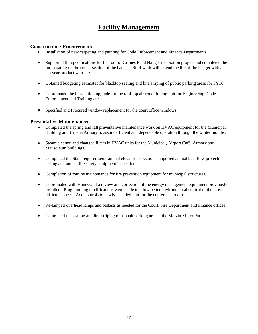## **Facility Management**

## **Construction / Procurement:**

- Installation of new carpeting and painting for Code Enforcement and Finance Departments.
- Supported the specifications for the roof of Grimes Field Hanger restoration project and completed the roof coating on the center section of the hanger. Roof work will extend the life of the hanger with a ten year product warranty.
- Obtained budgeting estimates for blacktop sealing and line striping of public parking areas for FY16.
- Coordinated the installation upgrade for the roof top air conditioning unit for Engineering, Code Enforcement and Training areas.
- Specified and Procured window replacement for the court office windows.

### **Preventative Maintenance:**

- Completed the spring and fall preventative maintenance work on HVAC equipment for the Municipal Building and Urbana Armory to assure efficient and dependable operation through the winter months.
- Steam cleaned and changed filters in HVAC units for the Municipal, Airport Café, Armory and Mausoleum buildings.
- Completed the State required semi-annual elevator inspection, supported annual backflow protector testing and annual life safety equipment inspection.
- Completion of routine maintenance for fire prevention equipment for municipal structures.
- Coordinated with Honeywell a review and correction of the energy management equipment previously installed. Programming modifications were made to allow better environmental control of the most difficult spaces. Add controls to newly installed unit for the conference room.
- Re-lamped overhead lamps and ballasts as needed for the Court, Fire Department and Finance offices.
- Contracted the sealing and line striping of asphalt parking area at the Melvin Miller Park.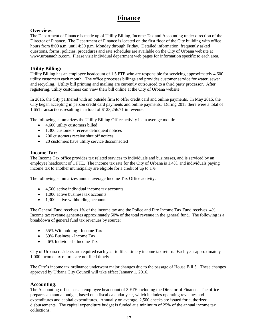## **Finance**

## **Overview:**

The Department of Finance is made up of Utility Billing, Income Tax and Accounting under direction of the Director of Finance. The Department of Finance is located on the first floor of the City building with office hours from 8:00 a.m. until 4:30 p.m. Monday through Friday. Detailed information, frequently asked questions, forms, policies, procedures and rate schedules are available on the City of Urbana website at [www.urbanaohio.com.](http://www.urbanaohio.com/) Please visit individual department web pages for information specific to each area.

## **Utility Billing:**

Utility Billing has an employee headcount of 1.5 FTE who are responsible for servicing approximately 4,600 utility customers each month. The office processes billings and provides customer service for water, sewer and recycling. Utility bill printing and mailing are currently outsourced to a third party processor. After registering, utility customers can view their bill online at the City of Urbana website.

In 2015, the City partnered with an outside firm to offer credit card and online payments. In May 2015, the City began accepting in person credit card payments and online payments. During 2015 there were a total of 1,651 transactions resulting in a total of \$123,256.71 in revenue.

The following summarizes the Utility Billing Office activity in an average month:

- 4,600 utility customers billed
- 1,300 customers receive delinquent notices
- 200 customers receive shut off notices
- 20 customers have utility service disconnected

## **Income Tax:**

The Income Tax office provides tax related services to individuals and businesses, and is serviced by an employee headcount of 1 FTE. The income tax rate for the City of Urbana is 1.4%, and individuals paying income tax to another municipality are eligible for a credit of up to 1%.

The following summarizes annual average Income Tax Office activity:

- 4.500 active individual income tax accounts
- 1,000 active business tax accounts
- 1,300 active withholding accounts

The General Fund receives 1% of the income tax and the Police and Fire Income Tax Fund receives .4%. Income tax revenue generates approximately 50% of the total revenue in the general fund. The following is a breakdown of general fund tax revenues by source:

- 55% Withholding Income Tax
- 39% Business Income Tax
- 6% Individual Income Tax

City of Urbana residents are required each year to file a timely income tax return. Each year approximately 1,000 income tax returns are not filed timely.

The City's income tax ordinance underwent major changes due to the passage of House Bill 5. These changes approved by Urbana City Council will take effect January 1, 2016.

## **Accounting:**

The Accounting office has an employee headcount of 3 FTE including the Director of Finance. The office prepares an annual budget, based on a fiscal calendar year, which includes operating revenues and expenditures and capital expenditures. Annually on average, 2,500 checks are issued for authorized disbursements. The capital expenditure budget is funded at a minimum of 25% of the annual income tax collections.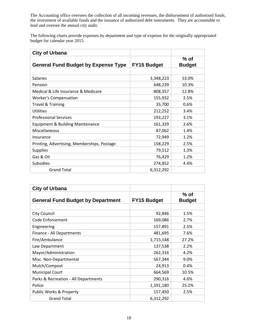The Accounting office oversees the collection of all incoming revenues, the disbursement of authorized funds, the investment of available funds and the issuance of authorized debt instruments. They are accountable to lead and oversee the annual city audit.

The following charts provide expenses by department and type of expense for the originally appropriated budget for calendar year 2015.

| <b>City of Urbana</b>                       |                    |                         |
|---------------------------------------------|--------------------|-------------------------|
| <b>General Fund Budget by Expense Type</b>  | <b>FY15 Budget</b> | $%$ of<br><b>Budget</b> |
|                                             |                    |                         |
| <b>Salaries</b>                             | 3,348,223          | 53.0%                   |
| Pension                                     | 648,239            | 10.3%                   |
| Medical & Life Insurance & Medicare         | 808,357            | 12.8%                   |
| <b>Worker's Compensation</b>                | 155,932            | 2.5%                    |
| <b>Travel &amp; Training</b>                | 35,700             | 0.6%                    |
| <b>Utilities</b>                            | 212,252            | 3.4%                    |
| <b>Professional Services</b>                | 193,227            | 3.1%                    |
| <b>Equipment &amp; Building Maintenance</b> | 161,329            | 2.6%                    |
| Miscellaneous                               | 87,062             | 1.4%                    |
| Insurance                                   | 72,949             | 1.2%                    |
| Printing, Advertising, Memberships, Postage | 158,229            | 2.5%                    |
| <b>Supplies</b>                             | 79,512             | 1.3%                    |
| Gas & Oil                                   | 76,429             | 1.2%                    |
| <b>Subsidies</b>                            | 274,852            | 4.4%                    |
| <b>Grand Total</b>                          | 6,312,292          |                         |

| <b>City of Urbana</b>                    |                    |                         |
|------------------------------------------|--------------------|-------------------------|
| <b>General Fund Budget by Department</b> | <b>FY15 Budget</b> | $%$ of<br><b>Budget</b> |
| <b>City Council</b>                      | 92,846             | 1.5%                    |
| Code Enforcement                         | 169,086            | 2.7%                    |
| Engineering                              | 157,891            | 2.5%                    |
| Finance - All Departments                | 481,695            | 7.6%                    |
| Fire/Ambulance                           | 1,715,148          | 27.2%                   |
| Law Department                           | 137,538            | 2.2%                    |
| Mayor/Administration                     | 262,316            | 4.2%                    |
| Misc. Non-Departmental                   | 567,344            | 9.0%                    |
| Mulch/Compost                            | 24,913             | 0.4%                    |
| <b>Municipal Court</b>                   | 664,569            | 10.5%                   |
| Parks & Recreation - All Departments     | 290,316            | 4.6%                    |
| Police                                   | 1,591,180          | 25.2%                   |
| Public Works & Property                  | 157,450            | 2.5%                    |
| <b>Grand Total</b>                       | 6,312,292          |                         |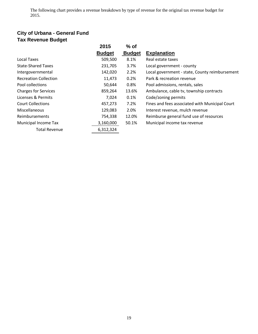The following chart provides a revenue breakdown by type of revenue for the original tax revenue budget for 2015.

## **City of Urbana - General Fund Tax Revenue Budget**

|                              | 2015          | $%$ of        |                                                |
|------------------------------|---------------|---------------|------------------------------------------------|
|                              | <b>Budget</b> | <b>Budget</b> | <b>Explanation</b>                             |
| Local Taxes                  | 509,500       | 8.1%          | Real estate taxes                              |
| <b>State-Shared Taxes</b>    | 231,705       | 3.7%          | Local government - county                      |
| Intergovernmental            | 142,020       | 2.2%          | Local government - state, County reimbursement |
| <b>Recreation Collection</b> | 11,473        | 0.2%          | Park & recreation revenue                      |
| Pool collections             | 50,644        | 0.8%          | Pool admissions, rentals, sales                |
| <b>Charges for Services</b>  | 859,264       | 13.6%         | Ambulance, cable tv, township contracts        |
| Licenses & Permits           | 7,024         | $0.1\%$       | Code/zoning permits                            |
| <b>Court Collections</b>     | 457,273       | 7.2%          | Fines and fees associated with Municipal Court |
| <b>Miscellaneous</b>         | 129,083       | 2.0%          | Interest revenue, mulch revenue                |
| Reimbursements               | 754,338       | 12.0%         | Reimburse general fund use of resources        |
| Municipal Income Tax         | 3,160,000     | 50.1%         | Municipal income tax revenue                   |
| <b>Total Revenue</b>         | 6,312,324     |               |                                                |
|                              |               |               |                                                |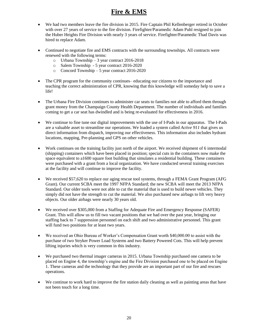## **Fire & EMS**

- We had two members leave the fire division in 2015. Fire Captain Phil Kellenberger retired in October with over 27 years of service to the fire division. Firefighter/Paramedic Adam Puhl resigned to join the Huber Heights Fire Division with nearly 3 years of service. Firefighter/Paramedic Thad Davis was hired to replace Adam.
- Continued to negotiate fire and EMS contracts with the surrounding townships. All contracts were renewed with the following terms:
	- o Urbana Township 3 year contract 2016-2018
	- o Salem Township 5 year contract 2016-2020
	- o Concord Township 5 year contract 2016-2020
- The CPR program for the community continues– educating our citizens to the importance and teaching the correct administration of CPR, knowing that this knowledge will someday help to save a life!
- The Urbana Fire Division continues to administer car seats to families not able to afford them through grant money from the Champaign County Health Department. The number of individuals and families coming to get a car seat has dwindled and is being re-evaluated for effectiveness in 2016.
- We continue to fine tune our digital improvements with the use of I-Pads in our apparatus. The I-Pads are a valuable asset to streamline our operations. We loaded a system called *Active 911* that gives us direct information from dispatch, improving our effectiveness. This information also includes hydrant locations, mapping, Pre-planning and GPS on other vehicles.
- Work continues on the training facility just north of the airport. We received shipment of 6 intermodal (shipping) containers which have been placed in position; special cuts in the containers now make the space equivalent to a1600 square foot building that simulates a residential building. These containers were purchased with a grant from a local organization. We have conducted several training exercises at the facility and will continue to improve the facility.
- We received \$57,620 to replace our aging rescue tool systems, through a FEMA Grant Program (AFG Grant). Our current SCBA meet the 1997 NFPA Standard; the new SCBA will meet the 2013 NFPA Standard. Our older tools were not able to cut the material that is used to build newer vehicles. They simply did not have the strength to cut the material. We also purchased new airbags to lift very heavy objects. Our older airbags were nearly 30 years old.
- We received over \$305,000 from a Staffing for Adequate Fire and Emergency Response (SAFER) Grant. This will allow us to fill two vacant positions that we had over the past year, bringing our staffing back to 7 suppression personnel on each shift and two administrative personnel. This grant will fund two positions for at least two years.
- We received an Ohio Bureau of Worker's Compensation Grant worth \$40,000.00 to assist with the purchase of two Stryker Power Load Systems and two Battery Powered Cots. This will help prevent lifting injuries which is very common in this industry.
- We purchased two thermal imager cameras in 2015. Urbana Township purchased one camera to be placed on Engine 4, the township's engine and the Fire Division purchased one to be placed on Engine 1. These cameras and the technology that they provide are an important part of our fire and rescues operations.
- We continue to work hard to improve the fire station daily cleaning as well as painting areas that have not been touch for a long time.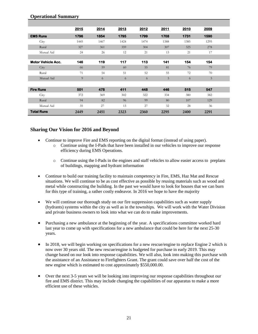|                           | 2015 | 2014 | 2013 | 2012 | 2011 | 2010 | 2009 |  |
|---------------------------|------|------|------|------|------|------|------|--|
| <b>EMS Runs</b>           | 1796 | 1854 | 1795 | 1799 | 1708 | 1731 | 1590 |  |
| City                      | 1445 | 1467 | 1424 | 1474 | 1388 | 1385 | 1295 |  |
| Rural                     | 327  | 361  | 359  | 304  | 307  | 325  | 278  |  |
| Mutual Aid                | 24   | 26   | 12   | 21   | 13   | 21   | 17   |  |
|                           |      |      |      |      |      |      |      |  |
| <b>Motor Vehicle Acc.</b> | 146  | 119  | 117  | 113  | 141  | 154  | 154  |  |
| City                      | 66   | 59   | 60   | 55   | 81   | 76   | 79   |  |
| Rural                     | 71   | 54   | 51   | 52   | 55   | 72   | 70   |  |
| Mutual Aid                | 9    | 6    | 6    | 6    | 5    | 6    | 5    |  |
|                           |      |      |      |      |      |      |      |  |
| <b>Fire Runs</b>          | 501  | 478  | 411  | 448  | 446  | 515  | 547  |  |
| City                      | 372  | 369  | 302  | 322  | 334  | 380  | 382  |  |
| Rural                     | 94   | 82   | 96   | 99   | 80   | 107  | 129  |  |
| Mutual Aid                | 35   | 27   | 13   | 27   | 32   | 28   | 36   |  |
| <b>Total Runs</b>         | 2449 | 2451 | 2323 | 2360 | 2295 | 2400 | 2291 |  |

## **Operational Summary**

- Continue to improve Fire and EMS reporting on the digital format (instead of using paper).
	- o Continue using the I-Pads that have been installed in our vehicles to improve our response efficiency during EMS Operations.
	- o Continue using the I-Pads in the engines and staff vehicles to allow easier access to preplans of buildings, mapping and hydrant information
- Continue to build our training facility to maintain competency in Fire, EMS, Haz Mat and Rescue situations. We will continue to be as cost effective as possible by reusing materials such as wood and metal while constructing the building. In the past we would have to look for houses that we can burn for this type of training, a rather costly endeavor. In 2016 we hope to have the majority
- We will continue our thorough study on our fire suppression capabilities such as water supply (hydrants) systems within the city as well as in the townships. We will work with the Water Division and private business owners to look into what we can do to make improvements.
- Purchasing a new ambulance at the beginning of the year. A specifications committee worked hard last year to come up with specifications for a new ambulance that could be here for the next 25-30 years.
- In 2018, we will begin working on specifications for a new rescue/engine to replace Engine 2 which is now over 30 years old. The new rescue/engine is budgeted for purchase in early 2019. This may change based on our look into response capabilities. We will also, look into making this purchase with the assistance of an Assistance to Firefighters Grant. The grant could save over half the cost of the new engine which is estimated to cost approximately \$550,000.00.
- Over the next 3-5 years we will be looking into improving our response capabilities throughout our fire and EMS district. This may include changing the capabilities of our apparatus to make a more efficient use of these vehicles.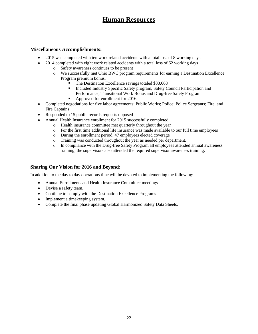# **Human Resources**

### **Miscellaneous Accomplishments:**

- 2015 was completed with ten work related accidents with a total loss of 8 working days.
- 2014 completed with eight work related accidents with a total loss of 62 working days
	- o Safety awareness continues to be present
	- o We successfully met Ohio BWC program requirements for earning a Destination Excellence Program premium bonus.
		- The Destination Excellence savings totaled \$33,668
		- Included Industry Specific Safety program, Safety Council Participation and Performance, Transitional Work Bonus and Drug-free Safely Program.
		- Approved for enrollment for 2016.
- Completed negotiations for five labor agreements; Public Works; Police; Police Sergeants; Fire; and Fire Captains
- Responded to 15 public records requests opposed
- Annual Health Insurance enrollment for 2015 successfully completed.
	- o Health insurance committee met quarterly throughout the year
	- o For the first time additional life insurance was made available to our full time employees
	- o During the enrollment period, 47 employees elected coverage
	- o Training was conducted throughout the year as needed per department.
	- o In compliance with the Drug-free Safety Program all employees attended annual awareness training; the supervisors also attended the required supervisor awareness training.

## **Sharing Our Vision for 2016 and Beyond:**

In addition to the day to day operations time will be devoted to implementing the following:

- Annual Enrollments and Health Insurance Committee meetings.
- Devise a safety team.
- Continue to comply with the Destination Excellence Programs.
- Implement a timekeeping system.
- Complete the final phase updating Global Harmonized Safety Data Sheets.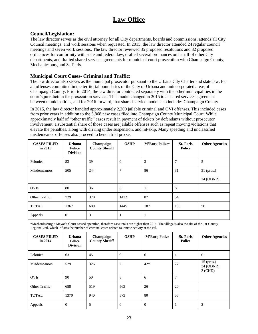## **Law Office**

## **Council/Legislation:**

The law director serves as the civil attorney for all City departments, boards and commissions, attends all City Council meetings, and work sessions when requested. In 2015, the law director attended 24 regular council meetings and seven work sessions. The law director reviewed 35 proposed resolutions and 32 proposed ordinances for conformity with state and federal law, drafted several ordinances on behalf of other City departments, and drafted shared service agreements for municipal court prosecution with Champaign County, Mechanicsburg and St. Paris.

## **Municipal Court Cases- Criminal and Traffic:**

The law director also serves as the municipal prosecutor pursuant to the Urbana City Charter and state law, for all offenses committed in the territorial boundaries of the City of Urbana and unincorporated areas of Champaign County. Prior to 2014, the law director contracted separately with the other municipalities in the court's jurisdiction for prosecution services. This model changed in 2015 to a shared services agreement between municipalities, and for 2016 forward, that shared service model also includes Champaign County.

In 2015, the law director handled approximately 2,200 jailable criminal and OVI offenses. This included cases from prior years in addition to the 3,868 new cases filed into Champaign County Municipal Court. While approximately half of "other traffic" cases result in payment of tickets by defendants without prosecutor involvement, a substantial share of those cases are jailable offenses such as repeat moving violations that elevate the penalties, along with driving under suspension, and hit-skip. Many speeding and unclassified misdemeanor offenses also proceed to bench trial pro se.

| <b>CASES FILED</b><br>in $2015$ | <b>Urbana</b><br><b>Police</b><br><b>Division</b> | Champaign<br><b>County Sheriff</b> | <b>OSHP</b> | <b>M'Burg Police*</b> | <b>St. Paris</b><br>Police | <b>Other Agencies</b> |
|---------------------------------|---------------------------------------------------|------------------------------------|-------------|-----------------------|----------------------------|-----------------------|
| Felonies                        | 53                                                | 39                                 | $\theta$    | 3                     |                            | 5                     |
| Misdemeanors                    | 505                                               | 244                                | 7           | 86                    | 31                         | $31$ (pros.)          |
|                                 |                                                   |                                    |             |                       |                            | 24 (ODNR)             |
| <b>OVIs</b>                     | 80                                                | 36                                 | 6           | 11                    | 8                          |                       |
| Other Traffic                   | 729                                               | 370                                | 1432        | 87                    | 54                         |                       |
| <b>TOTAL</b>                    | 1367                                              | 689                                | 1445        | 187                   | 100                        | 50                    |
| Appeals                         | $\overline{0}$                                    | 3                                  |             |                       |                            |                       |

\*Mechanicsburg's Mayor's Court ceased operation, therefore case totals are higher than 2014. The village is also the site of the Tri-County Regional Jail, which inflates the number of criminal cases related to inmate activity at the jail.

| <b>CASES FILED</b><br>in 2014 | Urbana<br><b>Police</b><br><b>Division</b> | Champaign<br><b>County Sheriff</b> | <b>OSHP</b>    | <b>M'Burg Police</b> | <b>St. Paris</b><br>Police | <b>Other Agencies</b>                  |
|-------------------------------|--------------------------------------------|------------------------------------|----------------|----------------------|----------------------------|----------------------------------------|
| Felonies                      | 63                                         | 45                                 | $\theta$       | 6                    |                            | $\theta$                               |
| Misdemeanors                  | 529                                        | 326                                | $\overline{2}$ | $42*$                | 27                         | $15$ (pros.)<br>34 (ODNR)<br>$3$ (CHD) |
| <b>OVIs</b>                   | 90                                         | 50                                 | 8              | 6                    |                            |                                        |
| Other Traffic                 | 688                                        | 519                                | 563            | 26                   | 20                         |                                        |
| <b>TOTAL</b>                  | 1370                                       | 940                                | 573            | 80                   | 55                         |                                        |
| Appeals                       | $\overline{0}$                             | 5                                  | $\overline{0}$ | $\overline{0}$       |                            | $\overline{2}$                         |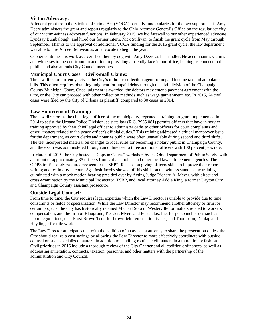## **Victim Advocacy:**

A federal grant from the Victims of Crime Act (VOCA) partially funds salaries for the two support staff. Amy Deere administers the grant and reports regularly to the Ohio Attorney General's Office on the regular activity of our victim-witness advocate functions. In February 2015, we bid farewell to our other experienced advocate, Lyndsay Bumbalough, and hired our former intern, Nick Sullivan, to finish the grant cycle from May through September. Thanks to the approval of additional VOCA funding for the 2016 grant cycle, the law department was able to hire Aimee Belliveau as an advocate to begin the year.

Copper continues his work as a certified therapy dog with Amy Deere as his handler. He accompanies victims and witnesses to the courtroom in addition to providing a friendly face in our office, helping us connect to the public, and also attends City Council meetings.

## **Municipal Court Cases – Civil/Small Claims:**

The law director currently acts as the City's in-house collection agent for unpaid income tax and ambulance bills. This often requires obtaining judgment for unpaid debts through the civil division of the Champaign County Municipal Court. Once judgment is awarded, the debtors may enter a payment agreement with the City, or the City can proceed with other collection methods such as wage garnishment, etc. In 2015, 24 civil cases were filed by the City of Urbana as plaintiff, compared to 30 cases in 2014.

## **Law Enforcement Training:**

The law director, as the chief legal officer of the municipality, repeated a training program implemented in 2014 to assist the Urbana Police Division, as state law (R.C. 2935.081) permits officers that have in-service training approved by their chief legal officer to administer oaths to other officers for court complaints and other "matters related to the peace officer's official duties." This training addressed a critical manpower issue for the department, as court clerks and notaries public were often unavailable during second and third shifts. The test incorporated material on changes to local rules for becoming a notary public in Champaign County, and the exam was administered through an online test to three additional officers with 100 percent pass rate.

In March of 2015, the City hosted a "Cops in Courts" workshop by the Ohio Department of Public Safety, with a turnout of approximately 35 officers from Urbana police and other local law enforcement agencies. The ODPS traffic safety resource prosecutor ("TSRP") focused on giving officers skills to improve their report writing and testimony in court. Sgt. Josh Jacobs showed off his skills on the witness stand as the training culminated with a mock motion hearing presided over by Acting Judge Richard A. Meyer, with direct and cross-examination by the Municipal Prosecutor, TSRP, and local attorney Addie King, a former Dayton City and Champaign County assistant prosecutor.

## **Outside Legal Counsel:**

From time to time, the City requires legal expertise which the Law Director is unable to provide due to time constraints or fields of specialization. While the Law Director may recommend another attorney or firm for certain projects, the City has historically retained Michael Soto of Westerville for matters related to workers compensation, and the firm of Blaugrund, Kessler, Myers and Postalakis, Inc. for personnel issues such as labor negotiations, etc.; Frost Brown Todd for brownfield remediation issues, and Thompson, Dunlap and Heydinger for title work.

The Law Director anticipates that with the addition of an assistant attorney to share the prosecution duties, the City should realize a cost savings by allowing the Law Director to more effectively coordinate with outside counsel on such specialized matters, in addition to handling routine civil matters in a more timely fashion. Civil priorities in 2016 include a thorough review of the City Charter and all codified ordinances, as well as addressing annexation, contracts, taxation, personnel and other matters with the partnership of the administration and City Council.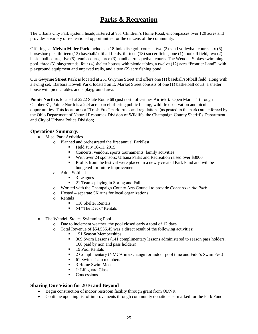# **Parks & Recreation**

The Urbana City Park system, headquartered at 731 Children's Home Road, encompasses over 120 acres and provides a variety of recreational opportunities for the citizens of the community.

Offerings at **Melvin Miller Park** include an 18-hole disc golf course, two (2) sand volleyball courts, six (6) horseshoe pits, thirteen (13) baseball/softball fields, thirteen (13) soccer fields, one (1) football field, two (2) basketball courts, five (5) tennis courts, three (3) handball/racquetball courts, The Wendell Stokes swimming pool, three (3) playgrounds, four (4) shelter houses with picnic tables, a twelve (12) acre "Frontier Land", with playground equipment and unpaved trails, and a two (2) acre fishing pond.

Our **Gwynne Street Park** is located at 251 Gwynne Street and offers one (1) baseball/softball field, along with a swing set. Barbara Howell Park, located on E. Market Street consists of one (1) basketball court, a shelter house with picnic tables and a playground area.

**Pointe North** is located at 2222 State Route 68 (just north of Grimes Airfield). Open March 1 through October 31, Pointe North is a 224 acre parcel offering public fishing, wildlife observation and picnic opportunities. This location is a "Trash Free" park; rules and regulations (as posted in the park) are enforced by the Ohio Department of Natural Resources-Division of Wildlife, the Champaign County Sheriff's Department and City of Urbana Police Division;

### **Operations Summary:**

- Misc. Park Activities
	- o Planned and orchestrated the first annual ParkFest
		- **Held July 10-11, 2015**
		- Concerts, vendors, sports tournaments, family activities
		- With over 24 sponsors; Urbana Parks and Recreation raised over \$8000
		- Profits from the festival were placed in a newly created Park Fund and will be budgeted for future improvements
	- o Adult Softball
		- **3** Leagues
		- <sup>21</sup> Teams playing in Spring and Fall
	- o Worked with the Champaign County Arts Council to provide *Concerts in the Park*
	- o Hosted 4 separate 5K runs for local organizations
	- o Rentals
		- **110 Shelter Rentals**
		- 54 "The Deck" Rentals
- The Wendell Stokes Swimming Pool
	- o Due to inclement weather, the pool closed early a total of 12 days
	- o Total Revenue of \$54,536.45 was a direct result of the following activities:
		- 191 Season Memberships
		- 309 Swim Lessons (141 complimentary lessons administered to season pass holders, 168 paid by non and pass holders)
		- 19 Pool Rentals
		- 2 Complimentary (YMCA in exchange for indoor pool time and Fido's Swim Fest)
		- 61 Swim Team members
		- 3 Home Swim Meets
		- **Jr Lifeguard Class**
		- Concessions

- Begin construction of indoor restroom facility through grant from ODNR
- Continue updating list of improvements through community donations earmarked for the Park Fund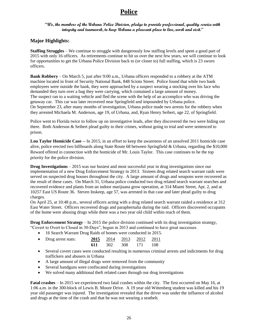## **Police**

### **"We, the members of the Urbana Police Division, pledge to provide professional, quality service with integrity and teamwork, to keep Urbana a pleasant place to live, work and visit."**

## **Major Highlights:**

**Staffing Struggles** – We continue to struggle with dangerously low staffing levels and spent a good part of 2015 with only 16 officers. As retirements continue to hit us over the next few years, we will continue to look for opportunities to get the Urbana Police Division back to (or closer to) full staffing, which is 23 sworn officers.

**Bank Robbery** – On March 5, just after 9:00 a.m., Urbana officers responded to a robbery at the ATM machine located in front of Security National Bank, 848 Scioto Street. Police found that while two bank employees were outside the bank, they were approached by a suspect wearing a stocking over his face who demanded they turn over a bag they were carrying, which contained a large amount of money. The suspect ran to a waiting vehicle and fled the scene with the help of an accomplice who was driving the getaway car. This car was later recovered near Springfield and impounded by Urbana police. On September 23, after many months of investigation, Urbana police made two arrests for the robbery when they arrested Michaela M. Anderson, age 19, of Urbana, and, Ryan Henry Seibert, age 22, of Springfield.

Police went to Florida twice to follow up on investigative leads, after they discovered the two were hiding out there. Both Anderson & Seibert plead guilty to their crimes, without going to trial and were sentenced to prison.

**Lou Taylor Homicide Case** -- In 2015, in an effort to keep the awareness of an unsolved 2011 homicide case alive, police erected two billboards along State Route 68 between Springfield & Urbana, regarding the \$10,000 Reward offered in connection with the homicide of Mr. Louis Taylor. This case continues to be the top priority for the police division.

**Drug Investigations** – 2015 was our busiest and most successful year in drug investigations since our implementation of a new Drug Enforcement Strategy in 2013. Sixteen drug related search warrant raids were served on suspected drug houses throughout the city. A large amount of drugs and weapons were recovered as the result of these cases. On March 31, Urbana police conducted two drug related search warrant searches and recovered evidence and plants from an indoor marijuana grow operation, at 314 Miami Street, Apt. 2, and at 10257 East US Route 36. Steven Inskeep, age 57, was arrested in that case and later plead guilty to drug charges.

On April 25, at 10:48 p.m., several officers acting with a drug related search warrant raided a residence at 312 East Water Street. Officers recovered drugs and paraphernalia during the raid. Officers discovered occupants of the home were abusing drugs while there was a two year old child within reach of them.

**Drug Enforcement Strategy** – In 2015 the police division continued with its drug investigation strategy, "Covert to Overt to Closed in 30-Days", begun in 2013 and continued to have great successes.

• 16 Search Warrant Drug Raids of homes were conducted in 2015.

| • Drug arrest stats: |  | 2015 2014 2013 2012 2011 |  |
|----------------------|--|--------------------------|--|
|                      |  | 611 302 308 171 108      |  |

- Several covert cases were conducted resulting in numerous criminal arrests and indictments for drug traffickers and abusers in Urbana
- A large amount of illegal drugs were removed from the community
- Several handguns were confiscated during investigations
- We solved many additional theft related cases through our drug investigations

**Fatal crashes** – In 2015 we experienced two fatal crashes within the city. The first occurred on May 16, at 1:06 a.m. in the 300-block of Lewis B. Moore Drive. A 19 year old Wittenberg student was killed and his 19 year old passenger was injured. The investigation revealed that the driver was under the influence of alcohol and drugs at the time of the crash and that he was not wearing a seatbelt.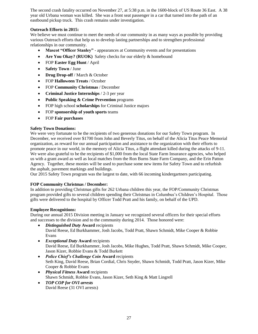The second crash fatality occurred on November 27, at 5:38 p.m. in the 1600-block of US Route 36 East. A 38 year old Urbana woman was killed. She was a front seat passenger in a car that turned into the path of an eastbound pickup truck. This crash remains under investigation.

### **Outreach Efforts in 2015:**

We believe we must continue to meet the needs of our community in as many ways as possible by providing various Outreach efforts that help us to develop lasting partnerships and to strengthen professional relationships in our community.

- **Mascot "Officer Stanley"** appearances at Community events and for presentations
- Are You Okay? (RUOK) Safety checks for our elderly & homebound
- FOP **Easter Egg Hunt** / April
- **Safety Town** / June
- **Drug Drop-off** / March & October
- FOP **Halloween Treats** / October
- FOP **Community Christmas** / December
- **•** Criminal Justice Internships / 2-3 per year
- **Public Speaking & Crime Prevention** programs
- FOP high school **scholarships** for Criminal Justice majors
- FOP **sponsorship of youth sports** teams
- FOP **Fair purchases**

### **Safety Town Donations:**

We were very fortunate to be the recipients of two generous donations for our Safety Town program. In December, we received over \$1700 from John and Beverly Titus, on behalf of the Alicia Titus Peace Memorial organization, as reward for our annual participation and assistance to the organization with their efforts to promote peace in our world, in the memory of Alicia Titus, a flight attendant killed during the attacks of 9-11. We were also grateful to be the recipients of \$1,000 from the local State Farm Insurance agencies, who helped us with a grant award as well as local matches from the Ron Burns State Farm Company, and the Erin Patton Agency. Together, these monies will be used to purchase some new items for Safety Town and to refurbish the asphalt, pavement markings and buildings.

Our 2015 Safety Town program was the largest to date, with 66 incoming kindergartners participating.

### **FOP Community Christmas / December:**

In addition to providing Christmas gifts for 262 Urbana children this year, the FOP/Community Christmas program provided gifts to several children spending their Christmas in Columbus's Children's Hospital. Those gifts were delivered to the hospital by Officer Todd Pratt and his family, on behalf of the UPD.

#### **Employee Recognitions:**

During our annual 2015 Division meeting in January we recognized several officers for their special efforts and successes to the division and to the community during 2014. Those honored were:

- *Distinguished Duty* **Award** recipients David Reese, Ed Burkhammer, Josh Jacobs, Todd Pratt, Shawn Schmidt, Mike Cooper & Robbie Evans
- *Exceptional Duty* **Award** recipients David Reese, Ed Burkhammer, Josh Jacobs, Mike Hughes, Todd Pratt, Shawn Schmidt, Mike Cooper, Jason Kizer, Robbie Evans & Todd Burkett
- *Police Chief's Challenge Coin* **Award** recipients Seth King, David Reese, Brian Cordial, Chris Snyder, Shawn Schmidt, Todd Pratt, Jason Kizer, Mike Cooper & Robbie Evans
- *Physical Fitness* **Award** recipients Shawn Schmidt, Robbie Evans, Jason Kizer, Seth King & Matt Lingrell
- *TOP COP for OVI arrests* David Reese (31 OVI arrests)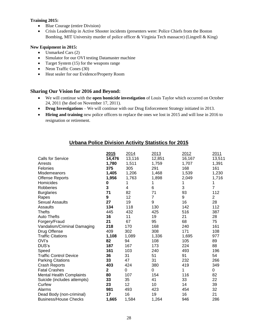### **Training 2015:**

- Blue Courage (entire Division)
- Crisis Leadership in Active Shooter incidents (presenters were: Police Chiefs from the Boston Bombing, MIT University murder of police officer & Virginia Tech massacre) (Lingrell & King)

### **New Equipment in 2015:**

- Unmarked Cars (2)
- Simulator for our OVI testing Datamaster machine
- Target System (15) for the weapons range
- Neon Traffic Cones (30)
- Heat sealer for our Evidence/Property Room

### **Sharing Our Vision for 2016 and Beyond:**

- We will continue with the **open homicide investigation** of Louis Taylor which occurred on October 24, 2011 (he died on November 17, 2011).
- **Drug Investigations** We will continue with our Drug Enforcement Strategy initiated in 2013.
- **Hiring and training** new police officers to replace the ones we lost in 2015 and will lose in 2016 to resignation or retirement.

## **Urbana Police Division Activity Statistics for 2015**

|                                 | 2015         | 2014     | 2013           | 2012   | 2011           |
|---------------------------------|--------------|----------|----------------|--------|----------------|
| <b>Calls for Service</b>        | 14,476       | 13,116   | 12,851         | 16,167 | 13,511         |
| Arrests                         | 1,780        | 1,511    | 1,759          | 1,707  | 1,391          |
| Felonies                        | 375          | 305      | 291            | 168    | 161            |
| Misdemeanors                    | 1,405        | 1,206    | 1,468          | 1,539  | 1,230          |
| <b>Offense Reports</b>          | 1,956        | 1,763    | 1,898          | 2,049  | 1,716          |
| Homicides                       | 0            | 1        | 1              | 1      | 1              |
| Robberies                       | 3            | 4        | 6              | 3      | $\overline{7}$ |
| <b>Burglaries</b>               | 71           | 82       | 71             | 93     | 112            |
| Rapes                           | 9            | 12       | $\overline{7}$ | 9      | $\overline{2}$ |
| <b>Sexual Assaults</b>          | 27           | 19       | 9              | 16     | 28             |
| Assaults                        | 134          | 118      | 130            | 142    | 112            |
| <b>Thefts</b>                   | 445          | 432      | 425            | 516    | 387            |
| <b>Auto Thefts</b>              | 16           | 11       | 19             | 21     | 28             |
| Forgery/Fraud                   | 21           | 67       | 95             | 68     | 75             |
| Vandalism/Criminal Damaging     | 218          | 170      | 168            | 240    | 161            |
| Drug Offense                    | 409          | 302      | 308            | 171    | 108            |
| <b>Traffic Citations</b>        | 1,108        | 1,089    | 1,336          | 1,695  | 977            |
| OVI's                           | 82           | 94       | 108            | 105    | 89             |
| DUS's                           | 187          | 167      | 173            | 224    | 88             |
| Speed                           | 161          | 103      | 240            | 493    | 196            |
| <b>Traffic Control Device</b>   | 36           | 31       | 51             | 91     | 54             |
| <b>Parking Citations</b>        | 33           | 47       | 31             | 232    | 266            |
| <b>Crash Reports</b>            | 403          | 424      | 380            | 419    | 349            |
| <b>Fatal Crashes</b>            | $\mathbf{2}$ | $\Omega$ | $\Omega$       | 1      | 0              |
| <b>Mental Health Complaints</b> | 80           | 107      | 154            | 116    | 82             |
| Suicide (includes attempts)     | 33           | 35       | 41             | 33     | 22             |
| Curfew                          | 23           | 12       | 10             | 14     | 39             |
| Alarms                          | 981          | 493      | 423            | 454    | 32             |
| Dead Body (non-criminal)        | 17           | 16       | 19             | 16     | 21             |
| <b>Business/House Checks</b>    | 1,665        | 1,584    | 1,264          | 946    | 286            |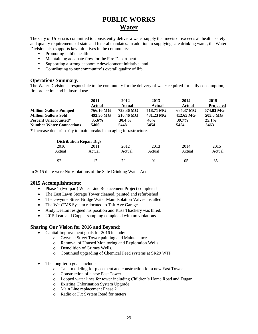# **PUBLIC WORKS Water**

The City of Urbana is committed to consistently deliver a water supply that meets or exceeds all health, safety and quality requirements of state and federal mandates. In addition to supplying safe drinking water, the Water Division also supports key initiatives in the community:

- Promoting public health
- Maintaining adequate flow for the Fire Department
- Supporting a strong economic development initiative; and
- Contributing to our community's overall quality of life.

### **Operations Summary:**

The Water Division is responsible to the community for the delivery of water required for daily consumption, fire protection and industrial use.

|                                 | 2011      | 2012      | 2013      | 2014      | 2015             |
|---------------------------------|-----------|-----------|-----------|-----------|------------------|
|                                 | Actual    | Actual    | Actual    | Actual    | <b>Projected</b> |
| <b>Million Gallons Pumped</b>   | 766.16 MG | 733.36 MG | 718.71 MG | 685.37 MG | 674.83 MG        |
| <b>Million Gallons Sold</b>     | 493.36 MG | 510.46 MG | 431.23 MG | 412.65 MG | 505.6 MG         |
| <b>Percent Unaccounted*</b>     | $35.6\%$  | $30.4\%$  | 40%       | $39.7\%$  | $25.1\%$         |
| <b>Number Water Connections</b> | 5400      | 5448      | 5454      | 5454      | 5463             |
| $\mathbf{r}$                    |           |           |           |           |                  |

**\*** Increase due primarily to main breaks in an aging infrastructure.

|        | <b>Distribution Repair Digs</b> |        |        |        |        |
|--------|---------------------------------|--------|--------|--------|--------|
| 2010   | 2011                            | 2012   | 2013   | 2014   | 2015   |
| Actual | Actual                          | Actual | Actual | Actual | Actual |
| 92     | 117                             | 72     | 91     | 105    | 65     |

In 2015 there were No Violations of the Safe Drinking Water Act.

### **2015 Accomplishments:**

- Phase 1 (two-part) Water Line Replacement Project completed
- The East Lawn Storage Tower cleaned, painted and refurbished
- The Gwynne Street Bridge Water Main Isolation Valves installed
- The WebTMS System relocated to Taft Ave Garage
- Andy Deaton resigned his position and Russ Thackery was hired.
- 2015 Lead and Copper sampling completed with no violations.

- Capital Improvement goals for 2016 include:
	- o Gwynne Street Tower painting and Maintenance
	- o Removal of Unused Monitoring and Exploration Wells.
	- o Demolition of Grimes Wells.
	- o Continued upgrading of Chemical Feed systems at SR29 WTP
- The long-term goals include:
	- o Tank modeling for placement and construction for a new East Tower
	- o Construction of a new East Tower
	- o Looped water lines for tower including Children's Home Road and Dugan
	- o Existing Chlorination System Upgrade
	- o Main Line replacement Phase 2
	- o Radio or Fix System Read for meters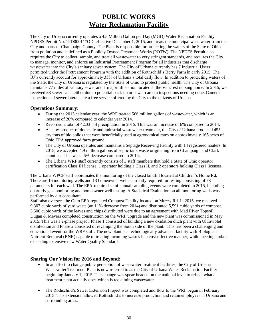## **PUBLIC WORKS Water Reclamation Facility**

The City of Urbana currently operates a 4.5 Million Gallon per Day (MGD) Water Reclamation Facility, NPDES Permit No. 1PD00011\*OD, effective December 1, 2015, and treats the municipal wastewater from the City and parts of Champaign County. The Plant is responsible for protecting the waters of the State of Ohio from pollution and is defined as a Publicly Owned Treatment Works (POTW). The NPDES Permit also requires the City to collect, sample, and treat all wastewater to very stringent standards, and requires the City to manage, monitor, and enforce an Industrial Pretreatment Program for all industries that discharge wastewater into the City's sanitary sewer system. The City of Urbana currently has 7 Industrial Users permitted under the Pretreatment Program with the addition of Rothschild's Berry Farm in early 2015. The IU's currently account for approximately 35% of Urbana's total daily flow. In addition to protecting waters of the State, the City of Urbana is regulated by the State of Ohio to protect public health. The City of Urbana maintains 77 miles of sanitary sewer and 1 major lift station located at the Vancrest nursing home. In 2015, we received 38 sewer calls, either due to potential back-up or sewer camera inspections needing done. Camera inspections of sewer laterals are a free service offered by the City to the citizens of Urbana.

### **Operations Summary:**

- During the 2015 calendar year, the WRF treated 566 million gallons of wastewater, which is an increase of 20% compared to calendar year 2014.
- Recorded a total of 42.33" of precipitation in 2015. This was an increase of 6% compared to 2014.
- As a by-product of domestic and industrial wastewater treatment, the City of Urbana produced 455 dry tons of bio-solids that were beneficially used at agronomical rates on approximately 165 acres of Ohio EPA approved farm ground.
- The City of Urbana operates and maintains a Septage Receiving Facility with 14 registered haulers. In 2015, we accepted 4.9 million gallons of septic tank waste originating from Champaign and Clark counties. This was a 6% decrease compared to 2014.
- The Urbana WRF staff currently consists of 3 staff members that hold a State of Ohio operator certification Class III license, 1 operator holding a Class II, and 2 operators holding Class I licenses.

The Urbana WPCF staff coordinates the monitoring of the closed landfill located at Children's Home Rd. There are 16 monitoring wells and 13 homeowner wells currently required for testing consisting of 78 parameters for each well. The EPA-required semi-annual sampling events were completed in 2015, including quarterly gas monitoring and homeowner well testing. A Statistical Evaluation on all monitoring wells was performed by our consultant.

Staff also oversees the Ohio EPA regulated Compost Facility located on Muzzy Rd. In 2015, we received 9,307 cubic yards of yard waste (an 11% decrease from 2014) and distributed 5,591 cubic yards of compost. 5,500 cubic yards of the leaves and chips distributed were due to an agreement with Mad River Topsoil. Dugan & Meyers completed construction on the WRF upgrade and the new plant was commissioned in May 2015. This was a 2-phase project. Phase 1 consisted of building a new oxidation ditch plant with Ultraviolet disinfection and Phase 2 consisted of revamping the South side of the plant. This has been a challenging and educational event for the WRF staff. The new plant is a technologically advanced facility with Biological Nutrient Removal (BNR) capable of treating incoming wastes in a cost-effective manner, while meeting and/or exceeding extensive new Water Quality Standards.

- In an effort to change public perception of wastewater treatment facilities, the City of Urbana Wastewater Treatment Plant is now referred to as the City of Urbana Water Reclamation Facility beginning January 1, 2015. This change was spear-headed on the national level to reflect what a treatment plant actually does-which is reclaiming wastewater.
- The Rothschild's Sewer Extension Project was completed and flow to the WRF began in February 2015. This extension allowed Rothschild's to increase production and retain employees in Urbana and surrounding areas.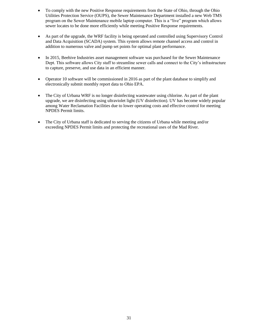- To comply with the new Positive Response requirements from the State of Ohio, through the Ohio Utilities Protection Service (OUPS), the Sewer Maintenance Department installed a new Web TMS program on the Sewer Maintenance mobile laptop computer. This is a "live" program which allows sewer locates to be done more efficiently while meeting Positive Response requirements.
- As part of the upgrade, the WRF facility is being operated and controlled using Supervisory Control and Data Acquisition (SCADA) system. This system allows remote channel access and control in addition to numerous valve and pump set points for optimal plant performance.
- In 2015, Beehive Industries asset management software was purchased for the Sewer Maintenance Dept. This software allows City staff to streamline sewer calls and connect to the City's infrastructure to capture, preserve, and use data in an efficient manner.
- Operator 10 software will be commissioned in 2016 as part of the plant database to simplify and electronically submit monthly report data to Ohio EPA.
- The City of Urbana WRF is no longer disinfecting wastewater using chlorine. As part of the plant upgrade, we are disinfecting using ultraviolet light (UV disinfection). UV has become widely popular among Water Reclamation Facilities due to lower operating costs and effective control for meeting NPDES Permit limits.
- The City of Urbana staff is dedicated to serving the citizens of Urbana while meeting and/or exceeding NPDES Permit limits and protecting the recreational uses of the Mad River.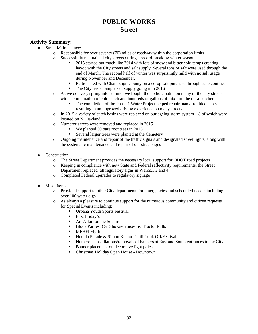# **PUBLIC WORKS Street**

### **Activity Summary:**

- Street Maintenance:
	- o Responsible for over seventy (70) miles of roadway within the corporation limits
		- o Successfully maintained city streets during a record-breaking winter season
			- 2015 started out much like 2014 with lots of snow and bitter cold temps creating havoc with the City streets and salt supply. Several tons of salt were used through the end of March. The second half of winter was surprisingly mild with no salt usage during November and December.
			- **Participated with Champaign County on a co-op salt purchase through state contract**
			- The City has an ample salt supply going into 2016
		- o As we do every spring into summer we fought the pothole battle on many of the city streets with a combination of cold patch and hundreds of gallons of mix thru the dura-patcher.
			- The completion of the Phase 1 Water Project helped repair many troubled spots resulting in an improved driving experience on many streets
		- $\circ$  In 2015 a variety of catch basins were replaced on our ageing storm system 8 of which were located on N. Oakland.
		- o Numerous trees were removed and replaced in 2015
			- We planted 30 bare root trees in 2015
			- Several larger trees were planted at the Cemetery
		- o Ongoing maintenance and repair of the traffic signals and designated street lights, along with the systematic maintenance and repair of our street signs
- Construction:
	- o The Street Department provides the necessary local support for ODOT road projects
	- o Keeping in compliance with new State and Federal reflectivity requirements, the Street Department replaced all regulatory signs in Wards,1,2 and 4.
	- o Completed Federal upgrades to regulatory signage
- Misc. Items:
	- o Provided support to other City departments for emergencies and scheduled needs: including over 100 water digs
	- o As always a pleasure to continue support for the numerous community and citizen requests for Special Events including:
		- Urbana Youth Sports Festival
		- **First Friday's**
		- **Art Affair on the Square**
		- Block Parties, Car Shows/Cruise-Ins, Tractor Pulls
		- **MERFI Fly-In**
		- Hoopla Parade & Simon Kenton Chili Cook Off/Festival
		- Numerous installations/removals of banners at East and South entrances to the City.
		- Banner placement on decorative light poles
		- Christmas Holiday Open House Downtown